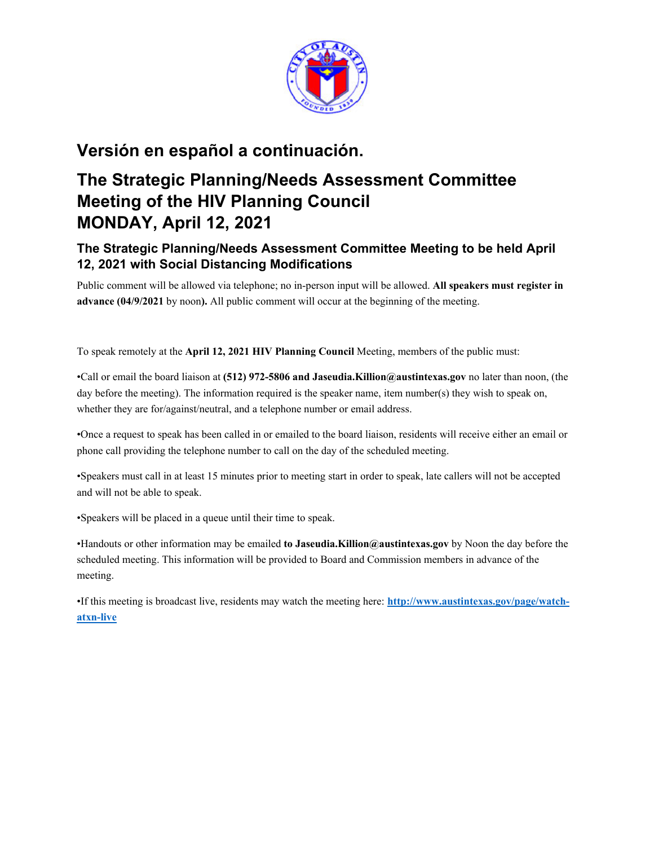

## **Versión en español a continuación.**

## **The Strategic Planning/Needs Assessment Committee Meeting of the HIV Planning Council MONDAY, April 12, 2021**

## **The Strategic Planning/Needs Assessment Committee Meeting to be held April 12, 2021 with Social Distancing Modifications**

Public comment will be allowed via telephone; no in-person input will be allowed. **All speakers must register in advance (04/9/2021** by noon**).** All public comment will occur at the beginning of the meeting.

To speak remotely at the **April 12, 2021 HIV Planning Council** Meeting, members of the public must:

•Call or email the board liaison at **(512) 972-5806 and Jaseudia.Killion@austintexas.gov** no later than noon, (the day before the meeting). The information required is the speaker name, item number(s) they wish to speak on, whether they are for/against/neutral, and a telephone number or email address.

•Once a request to speak has been called in or emailed to the board liaison, residents will receive either an email or phone call providing the telephone number to call on the day of the scheduled meeting.

•Speakers must call in at least 15 minutes prior to meeting start in order to speak, late callers will not be accepted and will not be able to speak.

•Speakers will be placed in a queue until their time to speak.

•Handouts or other information may be emailed **to Jaseudia.Killion@austintexas.gov** by Noon the day before the scheduled meeting. This information will be provided to Board and Commission members in advance of the meeting.

•If this meeting is broadcast live, residents may watch the meeting here: **http://www.austintexas.gov/page/watchatxn-live**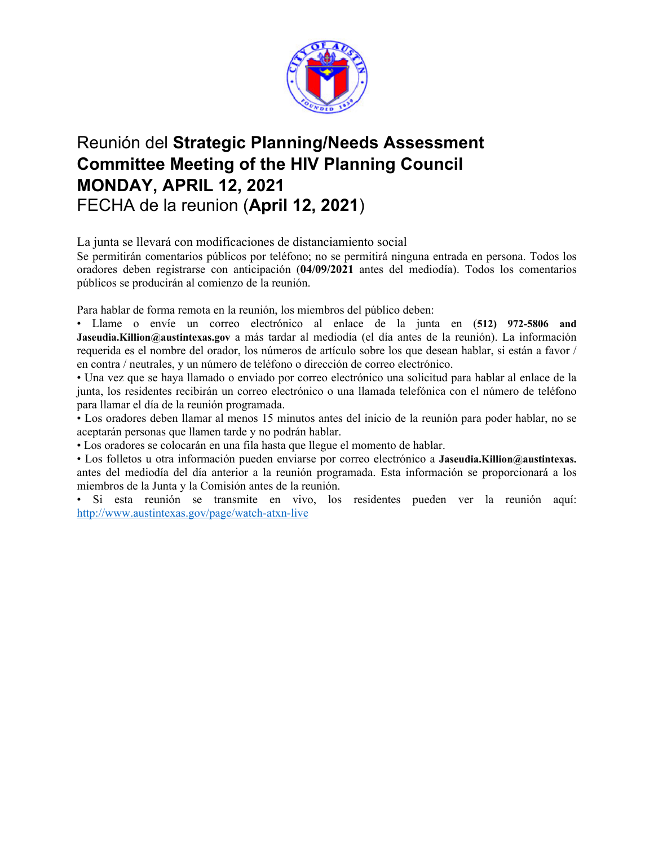

# Reunión del **Strategic Planning/Needs Assessment Committee Meeting of the HIV Planning Council MONDAY, APRIL 12, 2021**  FECHA de la reunion (**April 12, 2021**)

La junta se llevará con modificaciones de distanciamiento social

Se permitirán comentarios públicos por teléfono; no se permitirá ninguna entrada en persona. Todos los oradores deben registrarse con anticipación (**04/09/2021** antes del mediodía). Todos los comentarios públicos se producirán al comienzo de la reunión.

Para hablar de forma remota en la reunión, los miembros del público deben:

• Llame o envíe un correo electrónico al enlace de la junta en (**512) 972-5806 and Jaseudia.Killion@austintexas.gov** a más tardar al mediodía (el día antes de la reunión). La información requerida es el nombre del orador, los números de artículo sobre los que desean hablar, si están a favor / en contra / neutrales, y un número de teléfono o dirección de correo electrónico.

• Una vez que se haya llamado o enviado por correo electrónico una solicitud para hablar al enlace de la junta, los residentes recibirán un correo electrónico o una llamada telefónica con el número de teléfono para llamar el día de la reunión programada.

• Los oradores deben llamar al menos 15 minutos antes del inicio de la reunión para poder hablar, no se aceptarán personas que llamen tarde y no podrán hablar.

• Los oradores se colocarán en una fila hasta que llegue el momento de hablar.

• Los folletos u otra información pueden enviarse por correo electrónico a **Jaseudia.Killion@austintexas.** antes del mediodía del día anterior a la reunión programada. Esta información se proporcionará a los miembros de la Junta y la Comisión antes de la reunión.

• Si esta reunión se transmite en vivo, los residentes pueden ver la reunión aquí: http://www.austintexas.gov/page/watch-atxn-live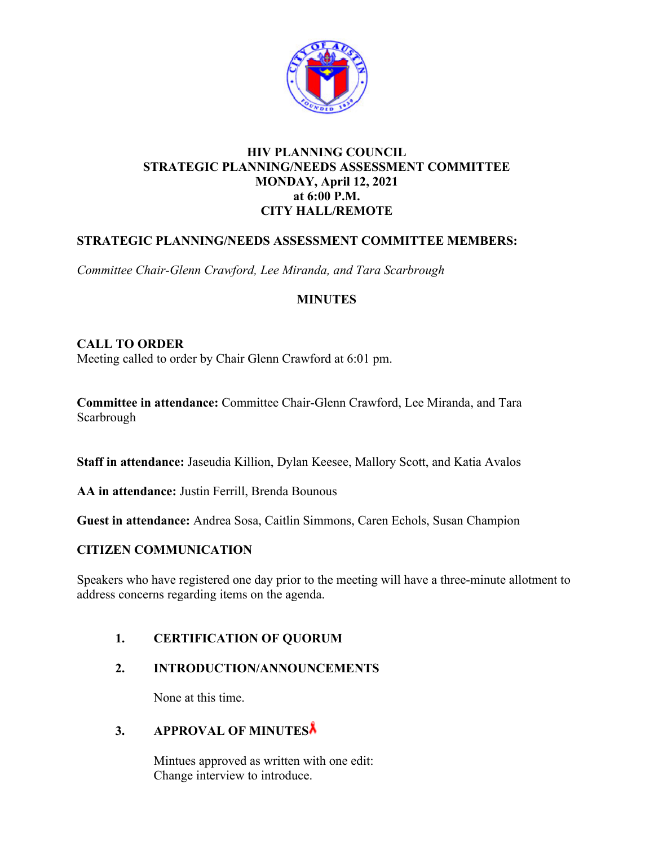

### **HIV PLANNING COUNCIL STRATEGIC PLANNING/NEEDS ASSESSMENT COMMITTEE MONDAY, April 12, 2021 at 6:00 P.M. CITY HALL/REMOTE**

## **STRATEGIC PLANNING/NEEDS ASSESSMENT COMMITTEE MEMBERS:**

*Committee Chair-Glenn Crawford, Lee Miranda, and Tara Scarbrough* 

### **MINUTES**

### **CALL TO ORDER**

Meeting called to order by Chair Glenn Crawford at 6:01 pm.

**Committee in attendance:** Committee Chair-Glenn Crawford, Lee Miranda, and Tara Scarbrough

**Staff in attendance:** Jaseudia Killion, Dylan Keesee, Mallory Scott, and Katia Avalos

**AA in attendance:** Justin Ferrill, Brenda Bounous

**Guest in attendance:** Andrea Sosa, Caitlin Simmons, Caren Echols, Susan Champion

### **CITIZEN COMMUNICATION**

Speakers who have registered one day prior to the meeting will have a three-minute allotment to address concerns regarding items on the agenda.

## **1. CERTIFICATION OF QUORUM**

### **2. INTRODUCTION/ANNOUNCEMENTS**

None at this time.

## **3. APPROVAL OF MINUTES**

Mintues approved as written with one edit: Change interview to introduce.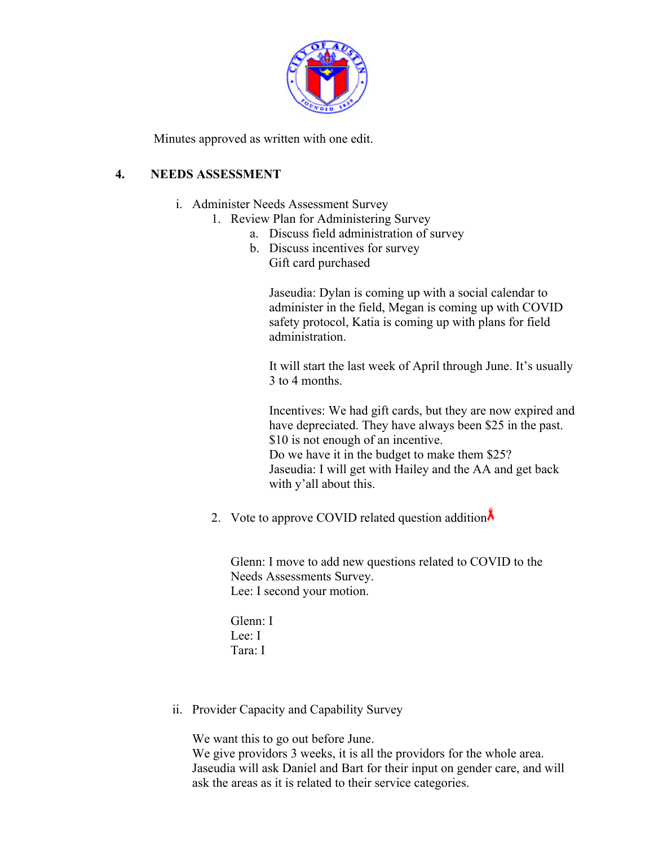

Minutes approved as written with one edit.

## **4. NEEDS ASSESSMENT**

- i. Administer Needs Assessment Survey
	- 1. Review Plan for Administering Survey
		- a. Discuss field administration of survey
		- b. Discuss incentives for survey Gift card purchased

Jaseudia: Dylan is coming up with a social calendar to administer in the field, Megan is coming up with COVID safety protocol, Katia is coming up with plans for field administration.

It will start the last week of April through June. It's usually 3 to 4 months.

Incentives: We had gift cards, but they are now expired and have depreciated. They have always been \$25 in the past. \$10 is not enough of an incentive. Do we have it in the budget to make them \$25? Jaseudia: I will get with Hailey and the AA and get back with y'all about this.

2. Vote to approve COVID related question addition $\lambda$ 

Glenn: I move to add new questions related to COVID to the Needs Assessments Survey. Lee: I second your motion.

Glenn: I Lee: I Tara: I

ii. Provider Capacity and Capability Survey

We want this to go out before June.

We give providors 3 weeks, it is all the providors for the whole area. Jaseudia will ask Daniel and Bart for their input on gender care, and will ask the areas as it is related to their service categories.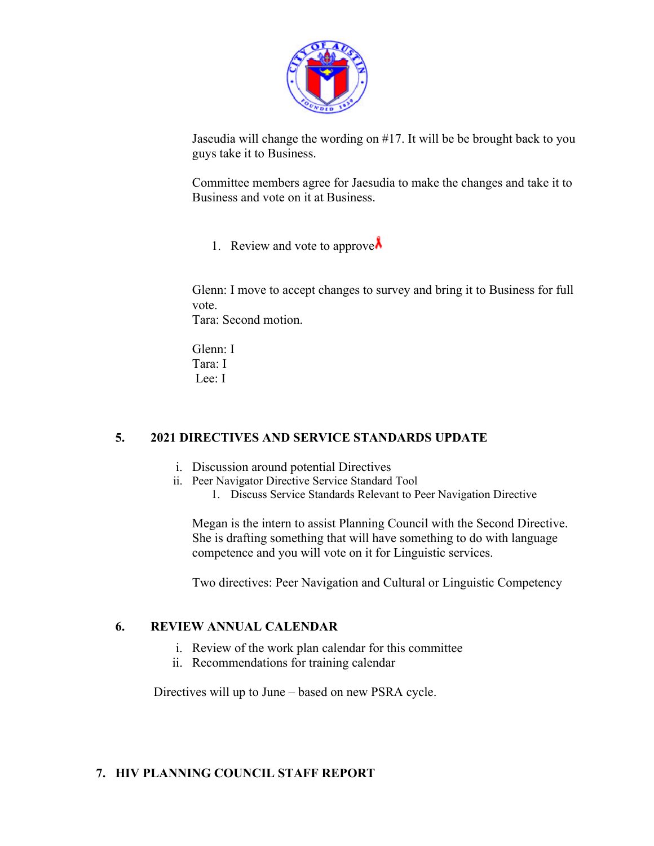

Jaseudia will change the wording on #17. It will be be brought back to you guys take it to Business.

Committee members agree for Jaesudia to make the changes and take it to Business and vote on it at Business.

1. Review and vote to approve  $\lambda$ 

Glenn: I move to accept changes to survey and bring it to Business for full vote.

Tara: Second motion.

Glenn: I Tara: I Lee: I

## **5. 2021 DIRECTIVES AND SERVICE STANDARDS UPDATE**

- i. Discussion around potential Directives
- ii. Peer Navigator Directive Service Standard Tool
	- 1. Discuss Service Standards Relevant to Peer Navigation Directive

Megan is the intern to assist Planning Council with the Second Directive. She is drafting something that will have something to do with language competence and you will vote on it for Linguistic services.

Two directives: Peer Navigation and Cultural or Linguistic Competency

### **6. REVIEW ANNUAL CALENDAR**

- i. Review of the work plan calendar for this committee
- ii. Recommendations for training calendar

Directives will up to June – based on new PSRA cycle.

### **7. HIV PLANNING COUNCIL STAFF REPORT**